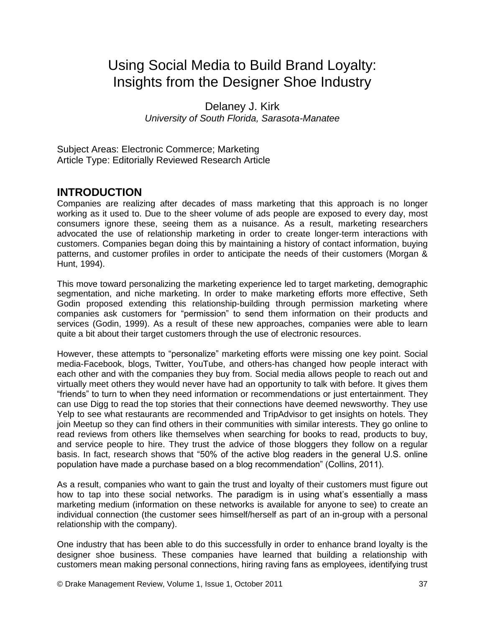# Using Social Media to Build Brand Loyalty: Insights from the Designer Shoe Industry

Delaney J. Kirk *University of South Florida, Sarasota-Manatee*

Subject Areas: Electronic Commerce; Marketing Article Type: Editorially Reviewed Research Article

# **INTRODUCTION**

Companies are realizing after decades of mass marketing that this approach is no longer working as it used to. Due to the sheer volume of ads people are exposed to every day, most consumers ignore these, seeing them as a nuisance. As a result, marketing researchers advocated the use of relationship marketing in order to create longer-term interactions with customers. Companies began doing this by maintaining a history of contact information, buying patterns, and customer profiles in order to anticipate the needs of their customers (Morgan & Hunt, 1994).

This move toward personalizing the marketing experience led to target marketing, demographic segmentation, and niche marketing. In order to make marketing efforts more effective, Seth Godin proposed extending this relationship-building through permission marketing where companies ask customers for "permission" to send them information on their products and services (Godin, 1999). As a result of these new approaches, companies were able to learn quite a bit about their target customers through the use of electronic resources.

However, these attempts to "personalize" marketing efforts were missing one key point. Social media-Facebook, blogs, Twitter, YouTube, and others-has changed how people interact with each other and with the companies they buy from. Social media allows people to reach out and virtually meet others they would never have had an opportunity to talk with before. It gives them "friends" to turn to when they need information or recommendations or just entertainment. They can use Digg to read the top stories that their connections have deemed newsworthy. They use Yelp to see what restaurants are recommended and TripAdvisor to get insights on hotels. They join Meetup so they can find others in their communities with similar interests. They go online to read reviews from others like themselves when searching for books to read, products to buy, and service people to hire. They trust the advice of those bloggers they follow on a regular basis. In fact, research shows that "50% of the active blog readers in the general U.S. online population have made a purchase based on a blog recommendation" (Collins, 2011).

As a result, companies who want to gain the trust and loyalty of their customers must figure out how to tap into these social networks. The paradigm is in using what's essentially a mass marketing medium (information on these networks is available for anyone to see) to create an individual connection (the customer sees himself/herself as part of an in-group with a personal relationship with the company).

One industry that has been able to do this successfully in order to enhance brand loyalty is the designer shoe business. These companies have learned that building a relationship with customers mean making personal connections, hiring raving fans as employees, identifying trust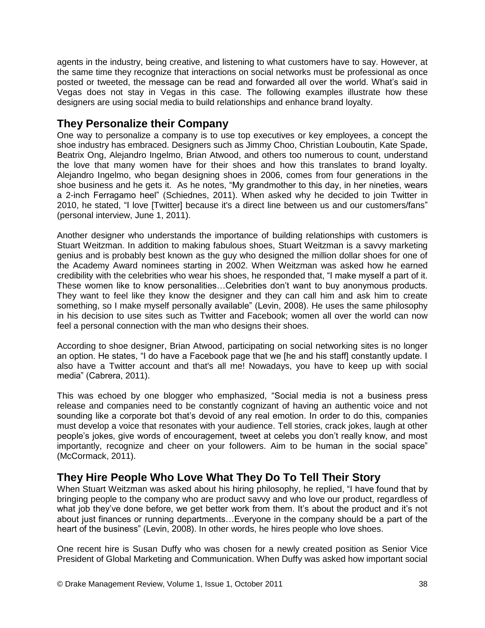agents in the industry, being creative, and listening to what customers have to say. However, at the same time they recognize that interactions on social networks must be professional as once posted or tweeted, the message can be read and forwarded all over the world. What"s said in Vegas does not stay in Vegas in this case. The following examples illustrate how these designers are using social media to build relationships and enhance brand loyalty.

# **They Personalize their Company**

One way to personalize a company is to use top executives or key employees, a concept the shoe industry has embraced. Designers such as Jimmy Choo, Christian Louboutin, Kate Spade, Beatrix Ong, Alejandro Ingelmo, Brian Atwood, and others too numerous to count, understand the love that many women have for their shoes and how this translates to brand loyalty. Alejandro Ingelmo, who began designing shoes in 2006, comes from four generations in the shoe business and he gets it. As he notes, "My grandmother to this day, in her nineties, wears a 2-inch Ferragamo heel" (Schiednes, 2011). When asked why he decided to join Twitter in 2010, he stated, "I love [Twitter] because it's a direct line between us and our customers/fans" (personal interview, June 1, 2011).

Another designer who understands the importance of building relationships with customers is Stuart Weitzman. In addition to making fabulous shoes, Stuart Weitzman is a savvy marketing genius and is probably best known as the guy who designed the million dollar shoes for one of the Academy Award nominees starting in 2002. When Weitzman was asked how he earned credibility with the celebrities who wear his shoes, he responded that, "I make myself a part of it. These women like to know personalities…Celebrities don"t want to buy anonymous products. They want to feel like they know the designer and they can call him and ask him to create something, so I make myself personally available" (Levin, 2008). He uses the same philosophy in his decision to use sites such as Twitter and Facebook; women all over the world can now feel a personal connection with the man who designs their shoes.

According to shoe designer, Brian Atwood, participating on social networking sites is no longer an option. He states, "I do have a Facebook page that we [he and his staff] constantly update. I also have a Twitter account and that's all me! Nowadays, you have to keep up with social media" (Cabrera, 2011).

This was echoed by one blogger who emphasized, "Social media is not a business press release and companies need to be constantly cognizant of having an authentic voice and not sounding like a corporate bot that's devoid of any real emotion. In order to do this, companies must develop a voice that resonates with your audience. Tell stories, crack jokes, laugh at other people"s jokes, give words of encouragement, tweet at celebs you don"t really know, and most importantly, recognize and cheer on your followers. Aim to be human in the social space" (McCormack, 2011).

# **They Hire People Who Love What They Do To Tell Their Story**

When Stuart Weitzman was asked about his hiring philosophy, he replied, "I have found that by bringing people to the company who are product savvy and who love our product, regardless of what job they've done before, we get better work from them. It's about the product and it's not about just finances or running departments…Everyone in the company should be a part of the heart of the business" (Levin, 2008). In other words, he hires people who love shoes.

One recent hire is Susan Duffy who was chosen for a newly created position as Senior Vice President of Global Marketing and Communication. When Duffy was asked how important social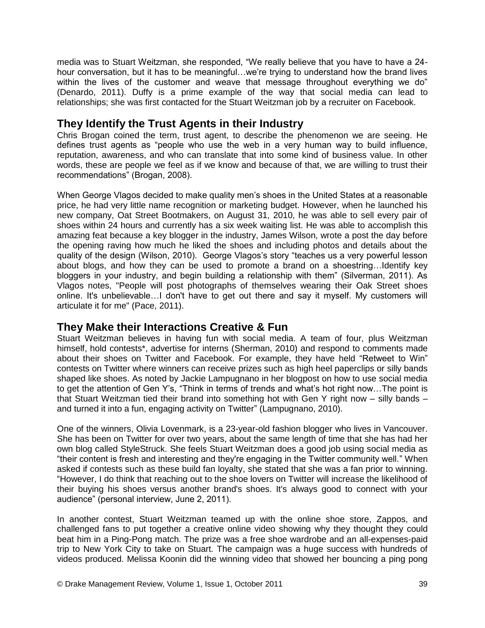media was to Stuart Weitzman, she responded, "We really believe that you have to have a 24 hour conversation, but it has to be meaningful...we're trying to understand how the brand lives within the lives of the customer and weave that message throughout everything we do" (Denardo, 2011). Duffy is a prime example of the way that social media can lead to relationships; she was first contacted for the Stuart Weitzman job by a recruiter on Facebook.

# **They Identify the Trust Agents in their Industry**

Chris Brogan coined the term, trust agent, to describe the phenomenon we are seeing. He defines trust agents as "people who use the web in a very human way to build influence, reputation, awareness, and who can translate that into some kind of business value. In other words, these are people we feel as if we know and because of that, we are willing to trust their recommendations" (Brogan, 2008).

When George Vlagos decided to make quality men"s shoes in the United States at a reasonable price, he had very little name recognition or marketing budget. However, when he launched his new company, Oat Street Bootmakers, on August 31, 2010, he was able to sell every pair of shoes within 24 hours and currently has a six week waiting list. He was able to accomplish this amazing feat because a key blogger in the industry, James Wilson, wrote a post the day before the opening raving how much he liked the shoes and including photos and details about the quality of the design (Wilson, 2010). George Vlagos's story "teaches us a very powerful lesson about blogs, and how they can be used to promote a brand on a shoestring…Identify key bloggers in your industry, and begin building a relationship with them" (Silverman, 2011). As Vlagos notes, "People will post photographs of themselves wearing their Oak Street shoes online. It's unbelievable…I don't have to get out there and say it myself. My customers will articulate it for me" (Pace, 2011).

#### **They Make their Interactions Creative & Fun**

Stuart Weitzman believes in having fun with social media. A team of four, plus Weitzman himself, hold contests\*, advertise for interns (Sherman, 2010) and respond to comments made about their shoes on Twitter and Facebook. For example, they have held "Retweet to Win" contests on Twitter where winners can receive prizes such as high heel paperclips or silly bands shaped like shoes. As noted by Jackie Lampugnano in her blogpost on how to use social media to get the attention of Gen Y's, "Think in terms of trends and what's hot right now...The point is that Stuart Weitzman tied their brand into something hot with Gen Y right now – silly bands – and turned it into a fun, engaging activity on Twitter" (Lampugnano, 2010).

One of the winners, Olivia Lovenmark, is a 23-year-old fashion blogger who lives in Vancouver. She has been on Twitter for over two years, about the same length of time that she has had her own blog called StyleStruck. She feels Stuart Weitzman does a good job using social media as "their content is fresh and interesting and they're engaging in the Twitter community well." When asked if contests such as these build fan loyalty, she stated that she was a fan prior to winning. "However, I do think that reaching out to the shoe lovers on Twitter will increase the likelihood of their buying his shoes versus another brand's shoes. It's always good to connect with your audience" (personal interview, June 2, 2011).

In another contest, Stuart Weitzman teamed up with the online shoe store, Zappos, and challenged fans to put together a creative online video showing why they thought they could beat him in a Ping-Pong match. The prize was a free shoe wardrobe and an all-expenses-paid trip to New York City to take on Stuart. The campaign was a huge success with hundreds of videos produced. Melissa Koonin did the winning video that showed her bouncing a ping pong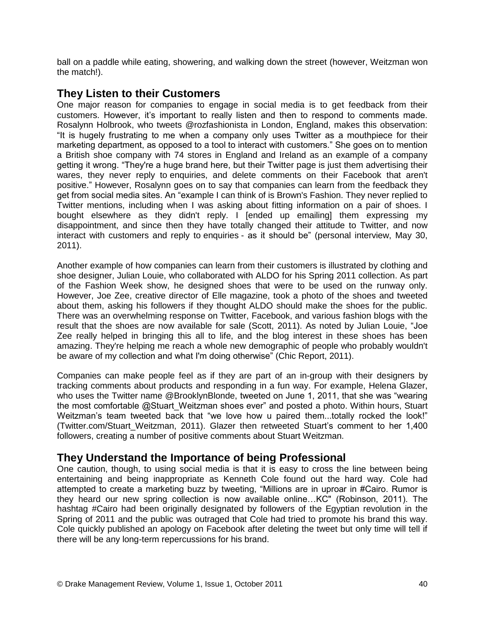ball on a paddle while eating, showering, and walking down the street (however, Weitzman won the match!).

### **They Listen to their Customers**

One major reason for companies to engage in social media is to get feedback from their customers. However, it"s important to really listen and then to respond to comments made. Rosalynn Holbrook, who tweets @rozfashionista in London, England, makes this observation: "It is hugely frustrating to me when a company only uses Twitter as a mouthpiece for their marketing department, as opposed to a tool to interact with customers." She goes on to mention a British shoe company with 74 stores in England and Ireland as an example of a company getting it wrong. "They're a huge brand here, but their Twitter page is just them advertising their wares, they never reply to enquiries, and delete comments on their Facebook that aren't positive." However, Rosalynn goes on to say that companies can learn from the feedback they get from social media sites. An "example I can think of is Brown's Fashion. They never replied to Twitter mentions, including when I was asking about fitting information on a pair of shoes. I bought elsewhere as they didn't reply. I [ended up emailing] them expressing my disappointment, and since then they have totally changed their attitude to Twitter, and now interact with customers and reply to enquiries - as it should be" (personal interview, May 30, 2011).

Another example of how companies can learn from their customers is illustrated by clothing and shoe designer, Julian Louie, who collaborated with ALDO for his Spring 2011 collection. As part of the Fashion Week show, he designed shoes that were to be used on the runway only. However, Joe Zee, creative director of Elle magazine, took a photo of the shoes and tweeted about them, asking his followers if they thought ALDO should make the shoes for the public. There was an overwhelming response on Twitter, Facebook, and various fashion blogs with the result that the shoes are now available for sale (Scott, 2011). As noted by Julian Louie, "Joe Zee really helped in bringing this all to life, and the blog interest in these shoes has been amazing. They're helping me reach a whole new demographic of people who probably wouldn't be aware of my collection and what I'm doing otherwise" (Chic Report, 2011).

Companies can make people feel as if they are part of an in-group with their designers by tracking comments about products and responding in a fun way. For example, Helena Glazer, who uses the Twitter name @BrooklynBlonde, tweeted on June 1, 2011, that she was "wearing the most comfortable @Stuart Weitzman shoes ever" and posted a photo. Within hours, Stuart Weitzman"s team tweeted back that "we love how u paired them...totally rocked the look!" (Twitter.com/Stuart\_Weitzman, 2011). Glazer then retweeted Stuart"s comment to her 1,400 followers, creating a number of positive comments about Stuart Weitzman.

#### **They Understand the Importance of being Professional**

One caution, though, to using social media is that it is easy to cross the line between being entertaining and being inappropriate as Kenneth Cole found out the hard way. Cole had attempted to create a marketing buzz by tweeting, "Millions are in uproar in #Cairo. Rumor is they heard our new spring collection is now available online…KC" (Robinson, 2011). The hashtag #Cairo had been originally designated by followers of the Egyptian revolution in the Spring of 2011 and the public was outraged that Cole had tried to promote his brand this way. Cole quickly published an apology on Facebook after deleting the tweet but only time will tell if there will be any long-term repercussions for his brand.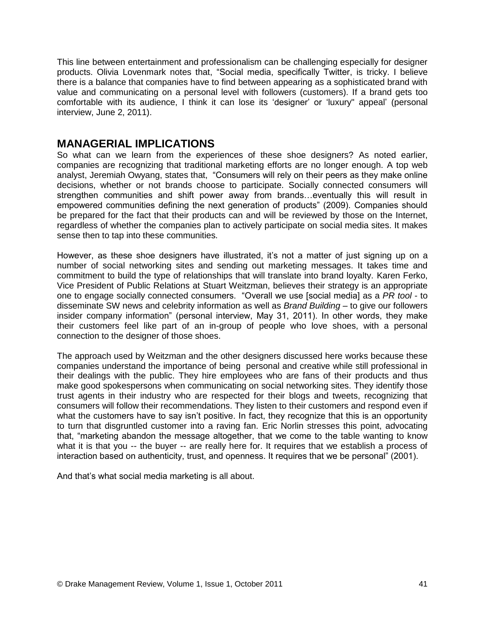This line between entertainment and professionalism can be challenging especially for designer products. Olivia Lovenmark notes that, "Social media, specifically Twitter, is tricky. I believe there is a balance that companies have to find between appearing as a sophisticated brand with value and communicating on a personal level with followers (customers). If a brand gets too comfortable with its audience, I think it can lose its "designer" or "luxury" appeal" (personal interview, June 2, 2011).

#### **MANAGERIAL IMPLICATIONS**

So what can we learn from the experiences of these shoe designers? As noted earlier, companies are recognizing that traditional marketing efforts are no longer enough. A top web analyst, Jeremiah Owyang, states that, "Consumers will rely on their peers as they make online decisions, whether or not brands choose to participate. Socially connected consumers will strengthen communities and shift power away from brands…eventually this will result in empowered communities defining the next generation of products" (2009). Companies should be prepared for the fact that their products can and will be reviewed by those on the Internet, regardless of whether the companies plan to actively participate on social media sites. It makes sense then to tap into these communities.

However, as these shoe designers have illustrated, it's not a matter of just signing up on a number of social networking sites and sending out marketing messages. It takes time and commitment to build the type of relationships that will translate into brand loyalty. Karen Ferko, Vice President of Public Relations at Stuart Weitzman, believes their strategy is an appropriate one to engage socially connected consumers. "Overall we use [social media] as a *PR tool* - to disseminate SW news and celebrity information as well as *Brand Building* – to give our followers insider company information" (personal interview, May 31, 2011). In other words, they make their customers feel like part of an in-group of people who love shoes, with a personal connection to the designer of those shoes.

The approach used by Weitzman and the other designers discussed here works because these companies understand the importance of being personal and creative while still professional in their dealings with the public. They hire employees who are fans of their products and thus make good spokespersons when communicating on social networking sites. They identify those trust agents in their industry who are respected for their blogs and tweets, recognizing that consumers will follow their recommendations. They listen to their customers and respond even if what the customers have to say isn't positive. In fact, they recognize that this is an opportunity to turn that disgruntled customer into a raving fan. Eric Norlin stresses this point, advocating that, "marketing abandon the message altogether, that we come to the table wanting to know what it is that you -- the buyer -- are really here for. It requires that we establish a process of interaction based on authenticity, trust, and openness. It requires that we be personal" (2001).

And that"s what social media marketing is all about.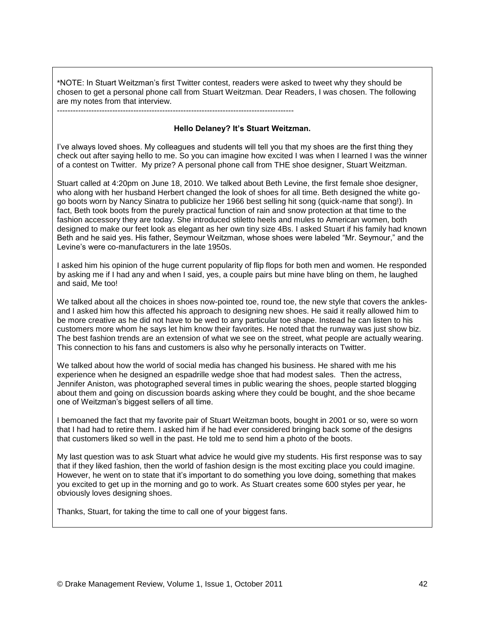\*NOTE: In Stuart Weitzman"s first Twitter contest, readers were asked to tweet why they should be chosen to get a personal phone call from Stuart Weitzman. Dear Readers, I was chosen. The following are my notes from that interview.

------------------------------------------------------------------------------------------

#### **Hello Delaney? It's Stuart Weitzman.**

I"ve always loved shoes. My colleagues and students will tell you that my shoes are the first thing they check out after saying hello to me. So you can imagine how excited I was when I learned I was the winner of a contest on Twitter. My prize? A personal phone call from THE shoe designer, Stuart Weitzman.

Stuart called at 4:20pm on June 18, 2010. We talked about Beth Levine, the first female shoe designer, who along with her husband Herbert changed the look of shoes for all time. Beth designed the white gogo boots worn by Nancy Sinatra to publicize her 1966 best selling hit song (quick-name that song!). In fact, Beth took boots from the purely practical function of rain and snow protection at that time to the fashion accessory they are today. She introduced stiletto heels and mules to American women, both designed to make our feet look as elegant as her own tiny size 4Bs. I asked Stuart if his family had known Beth and he said yes. His father, Seymour Weitzman, whose shoes were labeled "Mr. Seymour," and the Levine's were co-manufacturers in the late 1950s.

I asked him his opinion of the huge current popularity of flip flops for both men and women. He responded by asking me if I had any and when I said, yes, a couple pairs but mine have bling on them, he laughed and said, Me too!

We talked about all the choices in shoes now-pointed toe, round toe, the new style that covers the anklesand I asked him how this affected his approach to designing new shoes. He said it really allowed him to be more creative as he did not have to be wed to any particular toe shape. Instead he can listen to his customers more whom he says let him know their favorites. He noted that the runway was just show biz. The best fashion trends are an extension of what we see on the street, what people are actually wearing. This connection to his fans and customers is also why he personally interacts on Twitter.

We talked about how the world of social media has changed his business. He shared with me his experience when he designed an espadrille wedge shoe that had modest sales. Then the actress, Jennifer Aniston, was photographed several times in public wearing the shoes, people started blogging about them and going on discussion boards asking where they could be bought, and the shoe became one of Weitzman"s biggest sellers of all time.

I bemoaned the fact that my favorite pair of Stuart Weitzman boots, bought in 2001 or so, were so worn that I had had to retire them. I asked him if he had ever considered bringing back some of the designs that customers liked so well in the past. He told me to send him a photo of the boots.

My last question was to ask Stuart what advice he would give my students. His first response was to say that if they liked fashion, then the world of fashion design is the most exciting place you could imagine. However, he went on to state that it"s important to do something you love doing, something that makes you excited to get up in the morning and go to work. As Stuart creates some 600 styles per year, he obviously loves designing shoes.

Thanks, Stuart, for taking the time to call one of your biggest fans.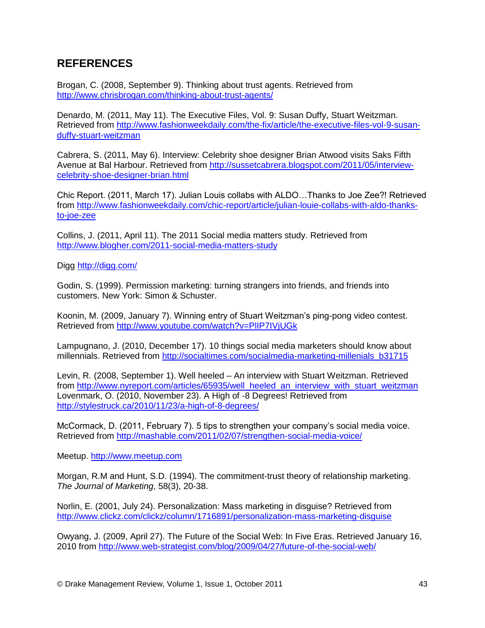# **REFERENCES**

Brogan, C. (2008, September 9). Thinking about trust agents. Retrieved from <http://www.chrisbrogan.com/thinking-about-trust-agents/>

Denardo, M. (2011, May 11). The Executive Files, Vol. 9: Susan Duffy, Stuart Weitzman. Retrieved from [http://www.fashionweekdaily.com/the-fix/article/the-executive-files-vol-9-susan](http://www.fashionweekdaily.com/the-fix/article/the-executive-files-vol-9-susan-duffy-stuart-weitzman)[duffy-stuart-weitzman](http://www.fashionweekdaily.com/the-fix/article/the-executive-files-vol-9-susan-duffy-stuart-weitzman)

Cabrera, S. (2011, May 6). Interview: Celebrity shoe designer Brian Atwood visits Saks Fifth Avenue at Bal Harbour. Retrieved from [http://sussetcabrera.blogspot.com/2011/05/interview](http://sussetcabrera.blogspot.com/2011/05/interview-celebrity-shoe-designer-brian.html)[celebrity-shoe-designer-brian.html](http://sussetcabrera.blogspot.com/2011/05/interview-celebrity-shoe-designer-brian.html)

Chic Report. (2011, March 17). Julian Louis collabs with ALDO…Thanks to Joe Zee?! Retrieved from [http://www.fashionweekdaily.com/chic-report/article/julian-louie-collabs-with-aldo-thanks](http://www.fashionweekdaily.com/chic-report/article/julian-louie-collabs-with-aldo-thanks-to-joe-zee)[to-joe-zee](http://www.fashionweekdaily.com/chic-report/article/julian-louie-collabs-with-aldo-thanks-to-joe-zee)

Collins, J. (2011, April 11). The 2011 Social media matters study. Retrieved from <http://www.blogher.com/2011-social-media-matters-study>

Digg<http://digg.com/>

Godin, S. (1999). Permission marketing: turning strangers into friends, and friends into customers. New York: Simon & Schuster.

Koonin, M. (2009, January 7). Winning entry of Stuart Weitzman"s ping-pong video contest. Retrieved from<http://www.youtube.com/watch?v=PlIP7IVjUGk>

Lampugnano, J. (2010, December 17). 10 things social media marketers should know about millennials. Retrieved from [http://socialtimes.com/socialmedia-marketing-millenials\\_b31715](http://socialtimes.com/socialmedia-marketing-millenials_b31715)

Levin, R. (2008, September 1). Well heeled – An interview with Stuart Weitzman. Retrieved from [http://www.nyreport.com/articles/65935/well\\_heeled\\_an\\_interview\\_with\\_stuart\\_weitzman](http://www.nyreport.com/articles/65935/well_heeled_an_interview_with_stuart_weitzman) Lovenmark, O. (2010, November 23). A High of -8 Degrees! Retrieved from <http://stylestruck.ca/2010/11/23/a-high-of-8-degrees/>

McCormack, D. (2011, February 7). 5 tips to strengthen your company"s social media voice. Retrieved from<http://mashable.com/2011/02/07/strengthen-social-media-voice/>

Meetup. [http://www.meetup.com](http://www.meetup.com/)

Morgan, R.M and Hunt, S.D. (1994). The commitment-trust theory of relationship marketing. *The Journal of Marketing*, 58(3), 20-38.

Norlin, E. (2001, July 24). Personalization: Mass marketing in disguise? Retrieved from <http://www.clickz.com/clickz/column/1716891/personalization-mass-marketing-disguise>

Owyang, J. (2009, April 27). The Future of the Social Web: In Five Eras. Retrieved January 16, 2010 from<http://www.web-strategist.com/blog/2009/04/27/future-of-the-social-web/>